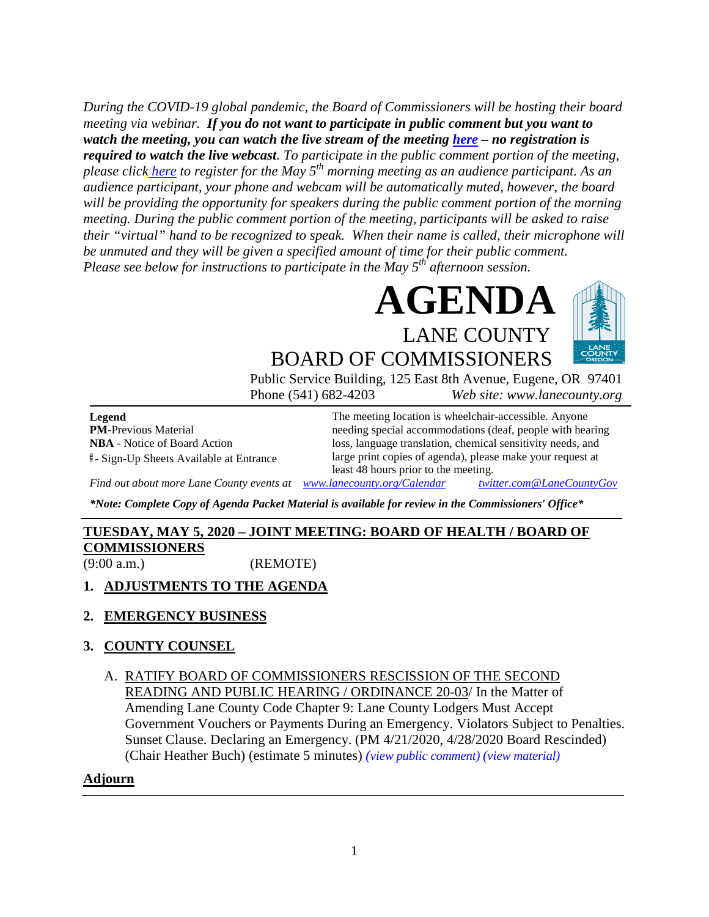*During the COVID-19 global pandemic, the Board of Commissioners will be hosting their board meeting via webinar. If you do not want to participate in public comment but you want to watch the meeting, you can watch the live stream of the meeting [here](https://lanecounty.org/cms/One.aspx?portalId=3585881&pageId=7842434) – no registration is required to watch the live webcast. To participate in the public comment portion of the meeting, please click [here](https://lanecounty.wufoo.com/forms/q1m3twio1wcp678/) to register for the May 5th morning meeting as an audience participant. As an audience participant, your phone and webcam will be automatically muted, however, the board will be providing the opportunity for speakers during the public comment portion of the morning meeting. During the public comment portion of the meeting, participants will be asked to raise their "virtual" hand to be recognized to speak. When their name is called, their microphone will be unmuted and they will be given a specified amount of time for their public comment. Please see below for instructions to participate in the May 5th afternoon session.*





# BOARD OF COMMISSIONERS

Public Service Building, 125 East 8th Avenue, Eugene, OR 97401 Phone (541) 682-4203 *Web site: www.lanecounty.org*

**Legend PM**-Previous Material **NBA** - Notice of Board Action **#** - Sign-Up Sheets Available at Entrance The meeting location is wheelchair-accessible. Anyone needing special accommodations (deaf, people with hearing loss, language translation, chemical sensitivity needs, and large print copies of agenda), please make your request at least 48 hours prior to the meeting.

*Find out about more Lane County events at [www.lanecounty.org/Calendar](http://www.lanecounty.org/Calendar) [twitter.com@LaneCountyGov](https://twitter.com/lanecountygov?lang=en)*

*\*Note: Complete Copy of Agenda Packet Material is available for review in the Commissioners' Office\**

# **TUESDAY, MAY 5, 2020 – JOINT MEETING: BOARD OF HEALTH / BOARD OF COMMISSIONERS**

(9:00 a.m.) (REMOTE)

# **1. ADJUSTMENTS TO THE AGENDA**

# **2. EMERGENCY BUSINESS**

# **3. COUNTY COUNSEL**

A. RATIFY BOARD OF COMMISSIONERS RESCISSION OF THE SECOND READING AND PUBLIC HEARING / ORDINANCE 20-03/ In the Matter of Amending Lane County Code Chapter 9: Lane County Lodgers Must Accept Government Vouchers or Payments During an Emergency. Violators Subject to Penalties. Sunset Clause. Declaring an Emergency. (PM 4/21/2020, 4/28/2020 Board Rescinded) (Chair Heather Buch) (estimate 5 minutes) *(view [public comment\)](http://www.lanecountyor.gov/UserFiles/Servers/Server_3585797/File/Government/BCC/2020/2020_AGENDAS/042120agenda/T.3.APublic.pdf) (view [material\)](http://www.lanecountyor.gov/UserFiles/Servers/Server_3585797/File/Government/BCC/2020/2020_AGENDAS/042120agenda/T.3.A.pdf)*

# **Adjourn**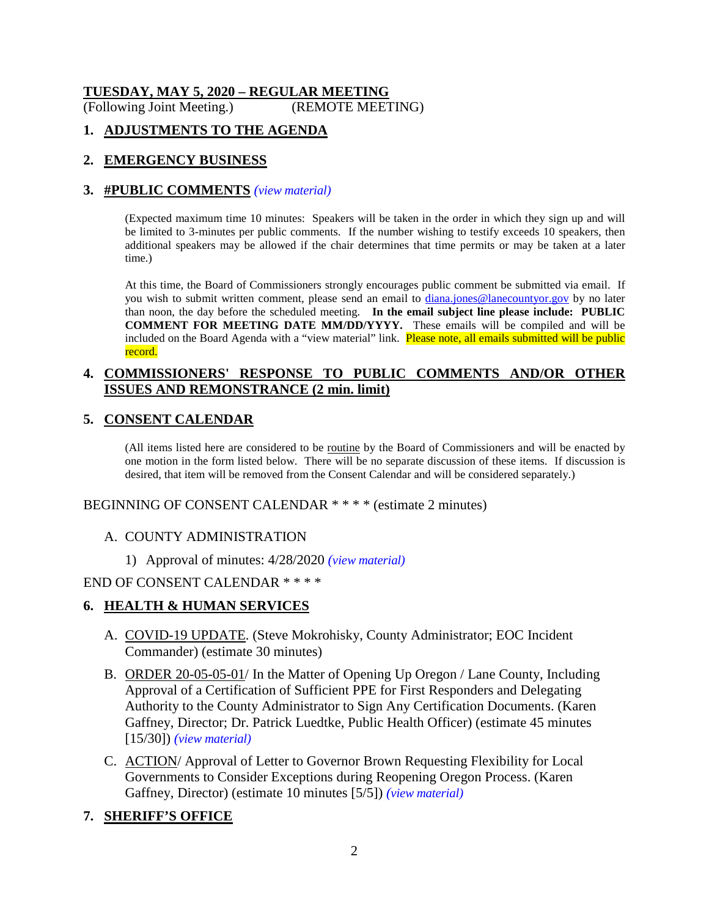# **TUESDAY, MAY 5, 2020 – REGULAR MEETING**

(Following Joint Meeting.) (REMOTE MEETING)

# **1. ADJUSTMENTS TO THE AGENDA**

## **2. EMERGENCY BUSINESS**

#### **3. #PUBLIC COMMENTS** *(view [material\)](http://www.lanecountyor.gov/UserFiles/Servers/Server_3585797/File/Government/BCC/2020/2020_AGENDAS/050520agenda/T.3.A.pdf)*

(Expected maximum time 10 minutes: Speakers will be taken in the order in which they sign up and will be limited to 3-minutes per public comments. If the number wishing to testify exceeds 10 speakers, then additional speakers may be allowed if the chair determines that time permits or may be taken at a later time.)

At this time, the Board of Commissioners strongly encourages public comment be submitted via email. If you wish to submit written comment, please send an email to *diana.jones@lanecountyor.gov* by no later than noon, the day before the scheduled meeting. **In the email subject line please include: PUBLIC COMMENT FOR MEETING DATE MM/DD/YYYY.** These emails will be compiled and will be included on the Board Agenda with a "view material" link. Please note, all emails submitted will be public record.

## **4. COMMISSIONERS' RESPONSE TO PUBLIC COMMENTS AND/OR OTHER ISSUES AND REMONSTRANCE (2 min. limit)**

## **5. CONSENT CALENDAR**

(All items listed here are considered to be routine by the Board of Commissioners and will be enacted by one motion in the form listed below. There will be no separate discussion of these items. If discussion is desired, that item will be removed from the Consent Calendar and will be considered separately.)

BEGINNING OF CONSENT CALENDAR \* \* \* \* (estimate 2 minutes)

#### A. COUNTY ADMINISTRATION

1) Approval of minutes: 4/28/2020 *(view [material\)](http://www.lanecountyor.gov/UserFiles/Servers/Server_3585797/File/Government/BCC/2020/2020_AGENDAS/050520agenda/T.5.A.1.pdf)*

#### END OF CONSENT CALENDAR \* \* \* \*

#### **6. HEALTH & HUMAN SERVICES**

- A. COVID-19 UPDATE. (Steve Mokrohisky, County Administrator; EOC Incident Commander) (estimate 30 minutes)
- B. ORDER 20-05-05-01/ In the Matter of Opening Up Oregon / Lane County, Including Approval of a Certification of Sufficient PPE for First Responders and Delegating Authority to the County Administrator to Sign Any Certification Documents. (Karen Gaffney, Director; Dr. Patrick Luedtke, Public Health Officer) (estimate 45 minutes [15/30]) *(view [material\)](http://www.lanecountyor.gov/UserFiles/Servers/Server_3585797/File/Government/BCC/2020/2020_AGENDAS/050520agenda/T.6.B.pdf)*
- C. ACTION/ Approval of Letter to Governor Brown Requesting Flexibility for Local Governments to Consider Exceptions during Reopening Oregon Process. (Karen Gaffney, Director) (estimate 10 minutes [5/5]) *(view [material\)](http://www.lanecountyor.gov/UserFiles/Servers/Server_3585797/File/Government/BCC/2020/2020_AGENDAS/050520agenda/T.6.C.pdf)*

# **7. SHERIFF'S OFFICE**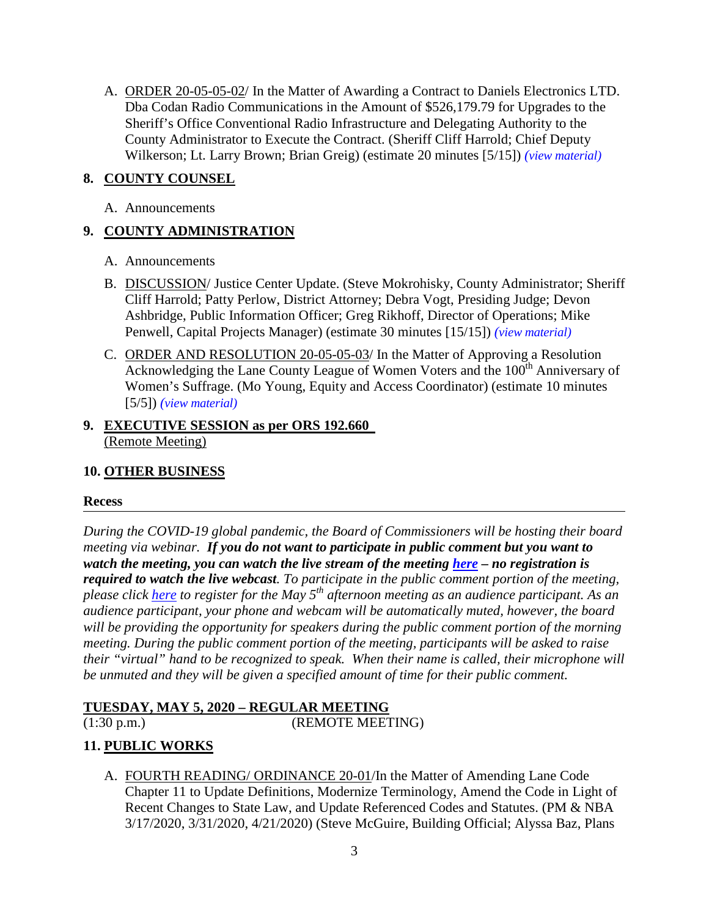A. ORDER 20-05-05-02/ In the Matter of Awarding a Contract to Daniels Electronics LTD. Dba Codan Radio Communications in the Amount of \$526,179.79 for Upgrades to the Sheriff's Office Conventional Radio Infrastructure and Delegating Authority to the County Administrator to Execute the Contract. (Sheriff Cliff Harrold; Chief Deputy Wilkerson; Lt. Larry Brown; Brian Greig) (estimate 20 minutes [5/15]) *(view [material\)](http://www.lanecountyor.gov/UserFiles/Servers/Server_3585797/File/Government/BCC/2020/2020_AGENDAS/050520agenda/T.7.A.pdf)*

# **8. COUNTY COUNSEL**

A. Announcements

# **9. COUNTY ADMINISTRATION**

- A. Announcements
- B. DISCUSSION/ Justice Center Update. (Steve Mokrohisky, County Administrator; Sheriff Cliff Harrold; Patty Perlow, District Attorney; Debra Vogt, Presiding Judge; Devon Ashbridge, Public Information Officer; Greg Rikhoff, Director of Operations; Mike Penwell, Capital Projects Manager) (estimate 30 minutes [15/15]) *(view [material\)](http://www.lanecountyor.gov/UserFiles/Servers/Server_3585797/File/Government/BCC/2020/2020_AGENDAS/050520agenda/T.9.B.pdf)*
- C. ORDER AND RESOLUTION 20-05-05-03/ In the Matter of Approving a Resolution Acknowledging the Lane County League of Women Voters and the 100<sup>th</sup> Anniversary of Women's Suffrage. (Mo Young, Equity and Access Coordinator) (estimate 10 minutes [5/5]) *(view [material\)](http://www.lanecountyor.gov/UserFiles/Servers/Server_3585797/File/Government/BCC/2020/2020_AGENDAS/050520agenda/T.9.C.pdf)*

# **9. EXECUTIVE SESSION as per ORS 192.660** (Remote Meeting)

# **10. OTHER BUSINESS**

#### **Recess**

*During the COVID-19 global pandemic, the Board of Commissioners will be hosting their board meeting via webinar. If you do not want to participate in public comment but you want to watch the meeting, you can watch the live stream of the meeting here – no registration is required to watch the live webcast. To participate in the public comment portion of the meeting, please click [here](https://lanecounty.wufoo.com/forms/qws72kf0l7gsw9/) to register for the May 5th afternoon meeting as an audience participant. As an audience participant, your phone and webcam will be automatically muted, however, the board will be providing the opportunity for speakers during the public comment portion of the morning meeting. During the public comment portion of the meeting, participants will be asked to raise their "virtual" hand to be recognized to speak. When their name is called, their microphone will be unmuted and they will be given a specified amount of time for their public comment.*

# **TUESDAY, MAY 5, 2020 – REGULAR MEETING**

(1:30 p.m.) (REMOTE MEETING)

# **11. PUBLIC WORKS**

A. FOURTH READING/ ORDINANCE 20-01/In the Matter of Amending Lane Code Chapter 11 to Update Definitions, Modernize Terminology, Amend the Code in Light of Recent Changes to State Law, and Update Referenced Codes and Statutes. (PM & NBA 3/17/2020, 3/31/2020, 4/21/2020) (Steve McGuire, Building Official; Alyssa Baz, Plans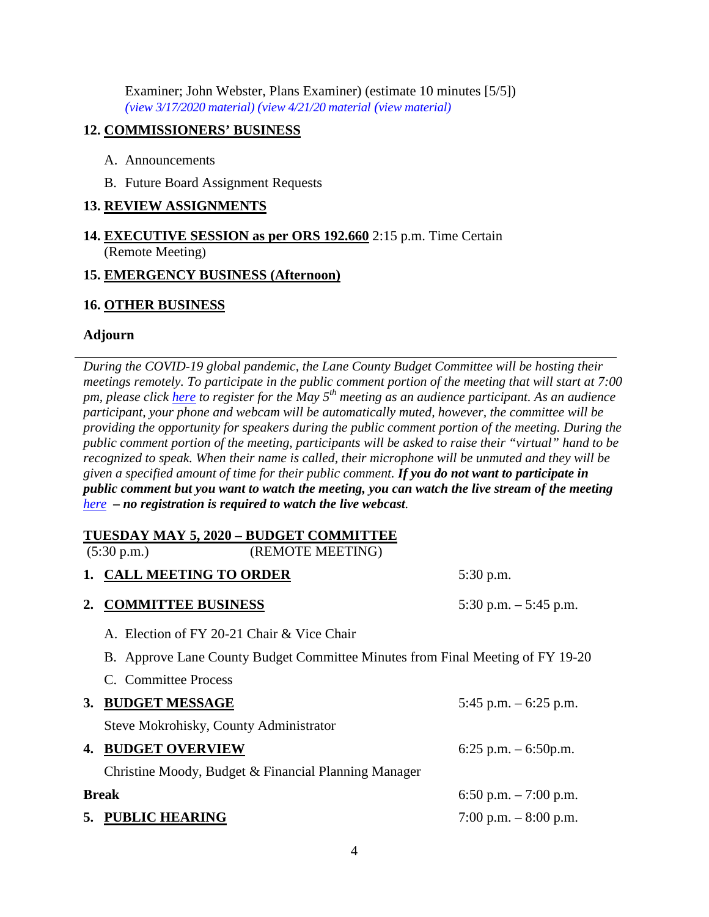Examiner; John Webster, Plans Examiner) (estimate 10 minutes [5/5]) *(view [3/17/2020 material\)](http://www.lanecountyor.gov/UserFiles/Servers/Server_3585797/File/Government/BCC/2020/2020_AGENDAS/031720agenda/T.7.A.pdf) (view 4/21/20 [material](http://www.lanecountyor.gov/UserFiles/Servers/Server_3585797/File/Government/BCC/2020/2020_AGENDAS/042120agenda/T.11.A.pdf) (view [material\)](http://www.lanecountyor.gov/UserFiles/Servers/Server_3585797/File/Government/BCC/2020/2020_AGENDAS/050520agenda/T.11.A.pdf)*

## **12. COMMISSIONERS' BUSINESS**

- A. Announcements
- B. Future Board Assignment Requests

# **13. REVIEW ASSIGNMENTS**

**14. EXECUTIVE SESSION as per ORS 192.660** 2:15 p.m. Time Certain (Remote Meeting)

## **15. EMERGENCY BUSINESS (Afternoon)**

# **16. OTHER BUSINESS**

# **Adjourn**

*During the COVID-19 global pandemic, the Lane County Budget Committee will be hosting their meetings remotely. To participate in the public comment portion of the meeting that will start at 7:00 pm, please click [here](https://lanecounty.wufoo.com/forms/q1txyuav1c7cbkj/) to register for the May 5th meeting as an audience participant. As an audience participant, your phone and webcam will be automatically muted, however, the committee will be providing the opportunity for speakers during the public comment portion of the meeting. During the public comment portion of the meeting, participants will be asked to raise their "virtual" hand to be recognized to speak. When their name is called, their microphone will be unmuted and they will be given a specified amount of time for their public comment. If you do not want to participate in public comment but you want to watch the meeting, you can watch the live stream of the meeting [here](https://lanecounty.org/cms/One.aspx?portalId=3585881&pageId=7842434) – no registration is required to watch the live webcast.* 

# **TUESDAY MAY 5, 2020 – BUDGET COMMITTEE**

(5:30 p.m.) (REMOTE MEETING)

|  | 1. CALL MEETING TO ORDER |  |
|--|--------------------------|--|
|  |                          |  |

**2. COMMITTEE BUSINESS** 5:30 p.m. – 5:45 p.m.

C. Committee Process

**5:30 p.m.** 

- A. Election of FY 20-21 Chair & Vice Chair
- B. Approve Lane County Budget Committee Minutes from Final Meeting of FY 19-20

|              | 3. BUDGET MESSAGE                                    | 5:45 p.m. $-6:25$ p.m. |
|--------------|------------------------------------------------------|------------------------|
|              | Steve Mokrohisky, County Administrator               |                        |
| 4.           | <b>BUDGET OVERVIEW</b>                               | 6:25 p.m. $-$ 6:50p.m. |
|              | Christine Moody, Budget & Financial Planning Manager |                        |
| <b>Break</b> |                                                      | 6:50 p.m. $-7:00$ p.m. |
|              | 5. PUBLIC HEARING                                    | 7:00 p.m. $-8:00$ p.m. |